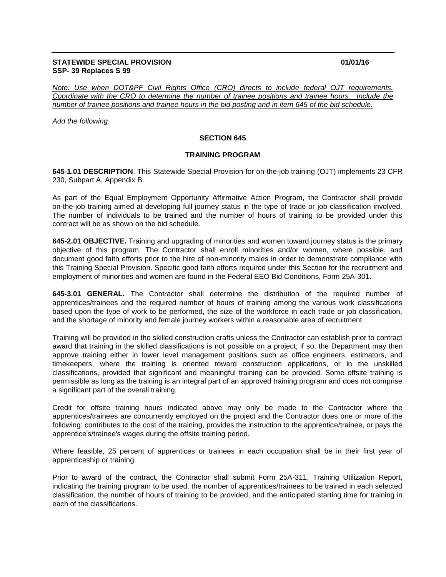## **STATEWIDE SPECIAL PROVISION 01/01/16 SSP- 39 Replaces S 99**

*Note: Use when DOT&PF Civil Rights Office (CRO) directs to include federal OJT requirements. Coordinate with the CRO to determine the number of trainee positions and trainee hours. Include the number of trainee positions and trainee hours in the bid posting and in item 645 of the bid schedule.*

*Add the following:*

## **SECTION 645**

## **TRAINING PROGRAM**

**645-1.01 DESCRIPTION**. This Statewide Special Provision for on-the-job training (OJT) implements 23 CFR 230, Subpart A, Appendix B.

As part of the Equal Employment Opportunity Affirmative Action Program, the Contractor shall provide on-the-job training aimed at developing full journey status in the type of trade or job classification involved. The number of individuals to be trained and the number of hours of training to be provided under this contract will be as shown on the bid schedule.

**645-2.01 OBJECTIVE.** Training and upgrading of minorities and women toward journey status is the primary objective of this program. The Contractor shall enroll minorities and/or women, where possible, and document good faith efforts prior to the hire of non-minority males in order to demonstrate compliance with this Training Special Provision. Specific good faith efforts required under this Section for the recruitment and employment of minorities and women are found in the Federal EEO Bid Conditions, Form 25A-301.

**645-3.01 GENERAL.** The Contractor shall determine the distribution of the required number of apprentices/trainees and the required number of hours of training among the various work classifications based upon the type of work to be performed, the size of the workforce in each trade or job classification, and the shortage of minority and female journey workers within a reasonable area of recruitment.

Training will be provided in the skilled construction crafts unless the Contractor can establish prior to contract award that training in the skilled classifications is not possible on a project; if so, the Department may then approve training either in lower level management positions such as office engineers, estimators, and timekeepers, where the training is oriented toward construction applications, or in the unskilled classifications, provided that significant and meaningful training can be provided. Some offsite training is permissible as long as the training is an integral part of an approved training program and does not comprise a significant part of the overall training.

Credit for offsite training hours indicated above may only be made to the Contractor where the apprentices/trainees are concurrently employed on the project and the Contractor does one or more of the following: contributes to the cost of the training, provides the instruction to the apprentice/trainee, or pays the apprentice's/trainee's wages during the offsite training period.

Where feasible, 25 percent of apprentices or trainees in each occupation shall be in their first year of apprenticeship or training.

Prior to award of the contract, the Contractor shall submit Form 25A-311, Training Utilization Report, indicating the training program to be used, the number of apprentices/trainees to be trained in each selected classification, the number of hours of training to be provided, and the anticipated starting time for training in each of the classifications.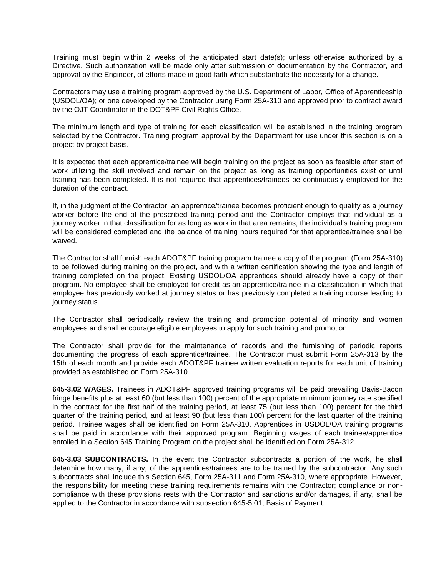Training must begin within 2 weeks of the anticipated start date(s); unless otherwise authorized by a Directive. Such authorization will be made only after submission of documentation by the Contractor, and approval by the Engineer, of efforts made in good faith which substantiate the necessity for a change.

Contractors may use a training program approved by the U.S. Department of Labor, Office of Apprenticeship (USDOL/OA); or one developed by the Contractor using Form 25A-310 and approved prior to contract award by the OJT Coordinator in the DOT&PF Civil Rights Office.

The minimum length and type of training for each classification will be established in the training program selected by the Contractor. Training program approval by the Department for use under this section is on a project by project basis.

It is expected that each apprentice/trainee will begin training on the project as soon as feasible after start of work utilizing the skill involved and remain on the project as long as training opportunities exist or until training has been completed. It is not required that apprentices/trainees be continuously employed for the duration of the contract.

If, in the judgment of the Contractor, an apprentice/trainee becomes proficient enough to qualify as a journey worker before the end of the prescribed training period and the Contractor employs that individual as a journey worker in that classification for as long as work in that area remains, the individual's training program will be considered completed and the balance of training hours required for that apprentice/trainee shall be waived.

The Contractor shall furnish each ADOT&PF training program trainee a copy of the program (Form 25A-310) to be followed during training on the project, and with a written certification showing the type and length of training completed on the project. Existing USDOL/OA apprentices should already have a copy of their program. No employee shall be employed for credit as an apprentice/trainee in a classification in which that employee has previously worked at journey status or has previously completed a training course leading to journey status.

The Contractor shall periodically review the training and promotion potential of minority and women employees and shall encourage eligible employees to apply for such training and promotion.

The Contractor shall provide for the maintenance of records and the furnishing of periodic reports documenting the progress of each apprentice/trainee. The Contractor must submit Form 25A-313 by the 15th of each month and provide each ADOT&PF trainee written evaluation reports for each unit of training provided as established on Form 25A-310.

**645-3.02 WAGES.** Trainees in ADOT&PF approved training programs will be paid prevailing Davis-Bacon fringe benefits plus at least 60 (but less than 100) percent of the appropriate minimum journey rate specified in the contract for the first half of the training period, at least 75 (but less than 100) percent for the third quarter of the training period, and at least 90 (but less than 100) percent for the last quarter of the training period. Trainee wages shall be identified on Form 25A-310. Apprentices in USDOL/OA training programs shall be paid in accordance with their approved program. Beginning wages of each trainee/apprentice enrolled in a Section 645 Training Program on the project shall be identified on Form 25A-312.

**645-3.03 SUBCONTRACTS.** In the event the Contractor subcontracts a portion of the work, he shall determine how many, if any, of the apprentices/trainees are to be trained by the subcontractor. Any such subcontracts shall include this Section 645, Form 25A-311 and Form 25A-310, where appropriate. However, the responsibility for meeting these training requirements remains with the Contractor; compliance or noncompliance with these provisions rests with the Contractor and sanctions and/or damages, if any, shall be applied to the Contractor in accordance with subsection 645-5.01, Basis of Payment.